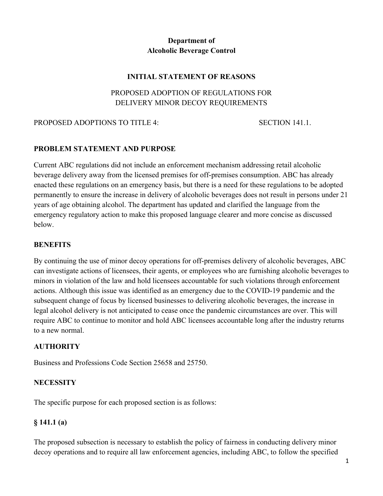### **Department of Alcoholic Beverage Control**

#### **INITIAL STATEMENT OF REASONS**

### PROPOSED ADOPTION OF REGULATIONS FOR DELIVERY MINOR DECOY REQUIREMENTS

#### PROPOSED ADOPTIONS TO TITLE 4: SECTION 141.1.

#### **PROBLEM STATEMENT AND PURPOSE**

Current ABC regulations did not include an enforcement mechanism addressing retail alcoholic beverage delivery away from the licensed premises for off-premises consumption. ABC has already enacted these regulations on an emergency basis, but there is a need for these regulations to be adopted permanently to ensure the increase in delivery of alcoholic beverages does not result in persons under 21 years of age obtaining alcohol. The department has updated and clarified the language from the emergency regulatory action to make this proposed language clearer and more concise as discussed below.

#### **BENEFITS**

By continuing the use of minor decoy operations for off-premises delivery of alcoholic beverages, ABC can investigate actions of licensees, their agents, or employees who are furnishing alcoholic beverages to minors in violation of the law and hold licensees accountable for such violations through enforcement actions. Although this issue was identified as an emergency due to the COVID-19 pandemic and the subsequent change of focus by licensed businesses to delivering alcoholic beverages, the increase in legal alcohol delivery is not anticipated to cease once the pandemic circumstances are over. This will require ABC to continue to monitor and hold ABC licensees accountable long after the industry returns to a new normal.

#### **AUTHORITY**

Business and Professions Code Section 25658 and 25750.

#### **NECESSITY**

The specific purpose for each proposed section is as follows:

#### **§ 141.1 (a)**

The proposed subsection is necessary to establish the policy of fairness in conducting delivery minor decoy operations and to require all law enforcement agencies, including ABC, to follow the specified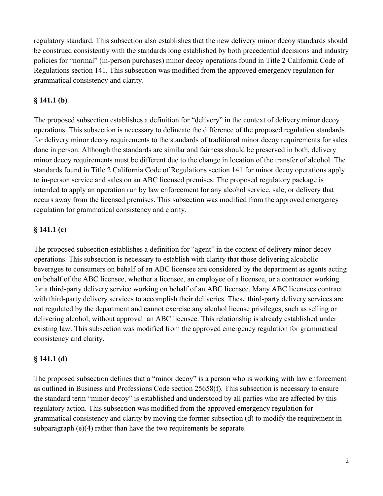regulatory standard. This subsection also establishes that the new delivery minor decoy standards should be construed consistently with the standards long established by both precedential decisions and industry policies for "normal" (in-person purchases) minor decoy operations found in Title 2 California Code of Regulations section 141. This subsection was modified from the approved emergency regulation for grammatical consistency and clarity.

### **§ 141.1 (b)**

The proposed subsection establishes a definition for "delivery" in the context of delivery minor decoy operations. This subsection is necessary to delineate the difference of the proposed regulation standards for delivery minor decoy requirements to the standards of traditional minor decoy requirements for sales done in person. Although the standards are similar and fairness should be preserved in both, delivery minor decoy requirements must be different due to the change in location of the transfer of alcohol. The standards found in Title 2 California Code of Regulations section 141 for minor decoy operations apply to in-person service and sales on an ABC licensed premises. The proposed regulatory package is intended to apply an operation run by law enforcement for any alcohol service, sale, or delivery that occurs away from the licensed premises. This subsection was modified from the approved emergency regulation for grammatical consistency and clarity.

### **§ 141.1 (c)**

The proposed subsection establishes a definition for "agent" in the context of delivery minor decoy operations. This subsection is necessary to establish with clarity that those delivering alcoholic beverages to consumers on behalf of an ABC licensee are considered by the department as agents acting on behalf of the ABC licensee, whether a licensee, an employee of a licensee, or a contractor working for a third-party delivery service working on behalf of an ABC licensee. Many ABC licensees contract with third-party delivery services to accomplish their deliveries. These third-party delivery services are not regulated by the department and cannot exercise any alcohol license privileges, such as selling or delivering alcohol, without approval an ABC licensee. This relationship is already established under existing law. This subsection was modified from the approved emergency regulation for grammatical consistency and clarity.

#### **§ 141.1 (d)**

The proposed subsection defines that a "minor decoy" is a person who is working with law enforcement as outlined in Business and Professions Code section 25658(f). This subsection is necessary to ensure the standard term "minor decoy" is established and understood by all parties who are affected by this regulatory action. This subsection was modified from the approved emergency regulation for grammatical consistency and clarity by moving the former subsection (d) to modify the requirement in subparagraph (e)(4) rather than have the two requirements be separate.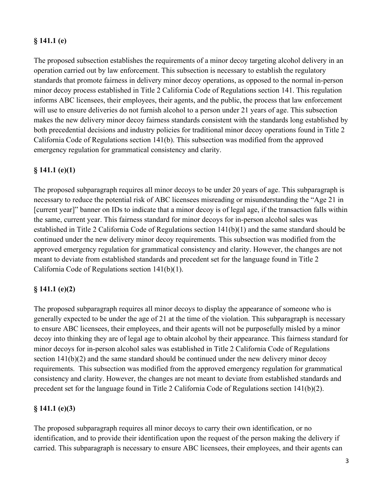### **§ 141.1 (e)**

The proposed subsection establishes the requirements of a minor decoy targeting alcohol delivery in an operation carried out by law enforcement. This subsection is necessary to establish the regulatory standards that promote fairness in delivery minor decoy operations, as opposed to the normal in-person minor decoy process established in Title 2 California Code of Regulations section 141. This regulation informs ABC licensees, their employees, their agents, and the public, the process that law enforcement will use to ensure deliveries do not furnish alcohol to a person under 21 years of age. This subsection makes the new delivery minor decoy fairness standards consistent with the standards long established by both precedential decisions and industry policies for traditional minor decoy operations found in Title 2 California Code of Regulations section 141(b). This subsection was modified from the approved emergency regulation for grammatical consistency and clarity.

#### **§ 141.1 (e)(1)**

The proposed subparagraph requires all minor decoys to be under 20 years of age. This subparagraph is necessary to reduce the potential risk of ABC licensees misreading or misunderstanding the "Age 21 in [current year]" banner on IDs to indicate that a minor decoy is of legal age, if the transaction falls within the same, current year. This fairness standard for minor decoys for in-person alcohol sales was established in Title 2 California Code of Regulations section 141(b)(1) and the same standard should be continued under the new delivery minor decoy requirements. This subsection was modified from the approved emergency regulation for grammatical consistency and clarity. However, the changes are not meant to deviate from established standards and precedent set for the language found in Title 2 California Code of Regulations section 141(b)(1).

#### **§ 141.1 (e)(2)**

The proposed subparagraph requires all minor decoys to display the appearance of someone who is generally expected to be under the age of 21 at the time of the violation. This subparagraph is necessary to ensure ABC licensees, their employees, and their agents will not be purposefully misled by a minor decoy into thinking they are of legal age to obtain alcohol by their appearance. This fairness standard for minor decoys for in-person alcohol sales was established in Title 2 California Code of Regulations section 141(b)(2) and the same standard should be continued under the new delivery minor decoy requirements. This subsection was modified from the approved emergency regulation for grammatical consistency and clarity. However, the changes are not meant to deviate from established standards and precedent set for the language found in Title 2 California Code of Regulations section 141(b)(2).

#### **§ 141.1 (e)(3)**

The proposed subparagraph requires all minor decoys to carry their own identification, or no identification, and to provide their identification upon the request of the person making the delivery if carried. This subparagraph is necessary to ensure ABC licensees, their employees, and their agents can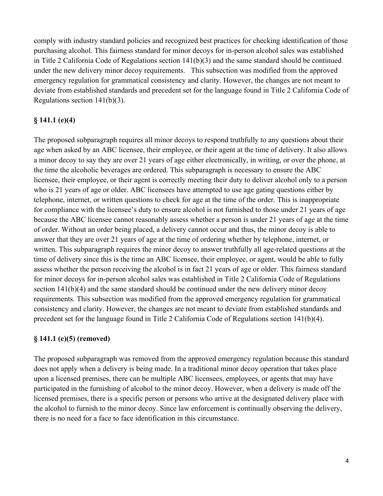comply with industry standard policies and recognized best practices for checking identification of those purchasing alcohol. This fairness standard for minor decoys for in-person alcohol sales was established in Title 2 California Code of Regulations section  $141(b)(3)$  and the same standard should be continued under the new delivery minor decoy requirements. This subsection was modified from the approved emergency regulation for grammatical consistency and clarity. However, the changes are not meant to deviate from established standards and precedent set for the language found in Title 2 California Code of Regulations section 141(b)(3).

### **§ 141.1 (e)(4)**

The proposed subparagraph requires all minor decoys to respond truthfully to any questions about their age when asked by an ABC licensee, their employee, or their agent at the time of delivery. It also allows a minor decoy to say they are over 21 years of age either electronically, in writing, or over the phone, at the time the alcoholic beverages are ordered. This subparagraph is necessary to ensure the ABC licensee, their employee, or their agent is correctly meeting their duty to deliver alcohol only to a person who is 21 years of age or older. ABC licensees have attempted to use age gating questions either by telephone, internet, or written questions to check for age at the time of the order. This is inappropriate for compliance with the licensee's duty to ensure alcohol is not furnished to those under 21 years of age because the ABC licensee cannot reasonably assess whether a person is under 21 years of age at the time of order. Without an order being placed, a delivery cannot occur and thus, the minor decoy is able to answer that they are over 21 years of age at the time of ordering whether by telephone, internet, or written. This subparagraph requires the minor decoy to answer truthfully all age-related questions at the time of delivery since this is the time an ABC licensee, their employee, or agent, would be able to fully assess whether the person receiving the alcohol is in fact 21 years of age or older. This fairness standard for minor decoys for in-person alcohol sales was established in Title 2 California Code of Regulations section 141(b)(4) and the same standard should be continued under the new delivery minor decoy requirements. This subsection was modified from the approved emergency regulation for grammatical consistency and clarity. However, the changes are not meant to deviate from established standards and precedent set for the language found in Title 2 California Code of Regulations section 141(b)(4).

#### **§ 141.1 (e)(5) (removed)**

The proposed subparagraph was removed from the approved emergency regulation because this standard does not apply when a delivery is being made. In a traditional minor decoy operation that takes place upon a licensed premises, there can be multiple ABC licensees, employees, or agents that may have participated in the furnishing of alcohol to the minor decoy. However, when a delivery is made off the licensed premises, there is a specific person or persons who arrive at the designated delivery place with the alcohol to furnish to the minor decoy. Since law enforcement is continually observing the delivery, there is no need for a face to face identification in this circumstance.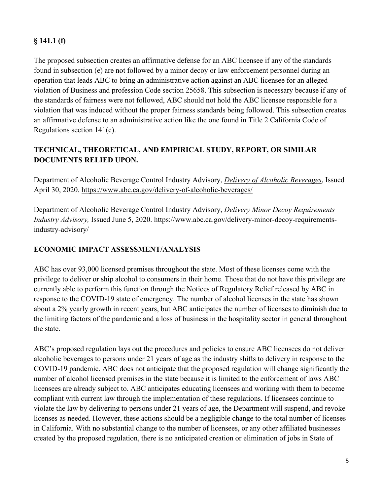# **§ 141.1 (f)**

The proposed subsection creates an affirmative defense for an ABC licensee if any of the standards found in subsection (e) are not followed by a minor decoy or law enforcement personnel during an operation that leads ABC to bring an administrative action against an ABC licensee for an alleged violation of Business and profession Code section 25658. This subsection is necessary because if any of the standards of fairness were not followed, ABC should not hold the ABC licensee responsible for a violation that was induced without the proper fairness standards being followed. This subsection creates an affirmative defense to an administrative action like the one found in Title 2 California Code of Regulations section 141(c).

# **TECHNICAL, THEORETICAL, AND EMPIRICAL STUDY, REPORT, OR SIMILAR DOCUMENTS RELIED UPON.**

Department of Alcoholic Beverage Control Industry Advisory, *Delivery of Alcoholic Beverages*, Issued April 30, 2020.<https://www.abc.ca.gov/delivery-of-alcoholic-beverages/>

Department of Alcoholic Beverage Control Industry Advisory, *Delivery Minor Decoy Requirements Industry Advisory,* Issued June 5, 2020. [https://www.abc.ca.gov/delivery-minor-decoy-requirements](https://www.abc.ca.gov/delivery-minor-decoy-requirements-industry-advisory/)[industry-advisory/](https://www.abc.ca.gov/delivery-minor-decoy-requirements-industry-advisory/)

### **ECONOMIC IMPACT ASSESSMENT/ANALYSIS**

ABC has over 93,000 licensed premises throughout the state. Most of these licenses come with the privilege to deliver or ship alcohol to consumers in their home. Those that do not have this privilege are currently able to perform this function through the Notices of Regulatory Relief released by ABC in response to the COVID-19 state of emergency. The number of alcohol licenses in the state has shown about a 2% yearly growth in recent years, but ABC anticipates the number of licenses to diminish due to the limiting factors of the pandemic and a loss of business in the hospitality sector in general throughout the state.

ABC's proposed regulation lays out the procedures and policies to ensure ABC licensees do not deliver alcoholic beverages to persons under 21 years of age as the industry shifts to delivery in response to the COVID-19 pandemic. ABC does not anticipate that the proposed regulation will change significantly the number of alcohol licensed premises in the state because it is limited to the enforcement of laws ABC licensees are already subject to. ABC anticipates educating licensees and working with them to become compliant with current law through the implementation of these regulations. If licensees continue to violate the law by delivering to persons under 21 years of age, the Department will suspend, and revoke licenses as needed. However, these actions should be a negligible change to the total number of licenses in California. With no substantial change to the number of licensees, or any other affiliated businesses created by the proposed regulation, there is no anticipated creation or elimination of jobs in State of